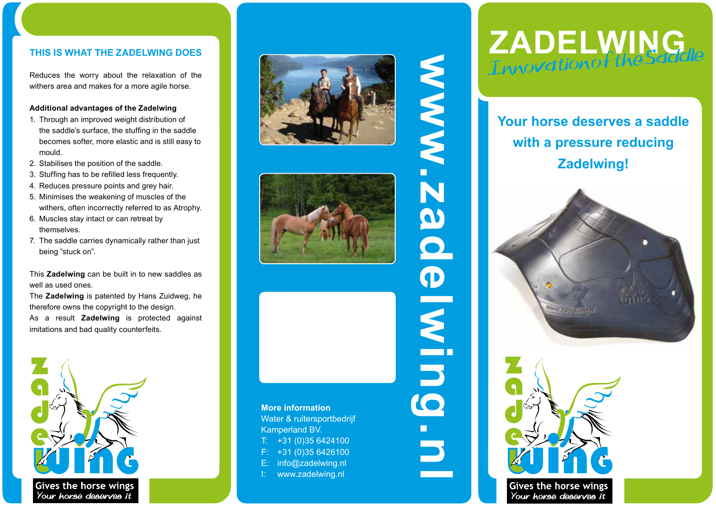### **TH IS IS W H AT TH E ZADELWING D O E S**

Reduces the worry about the relaxation of the withers area and makes for a more agile horse.

### **Additional advantages of the Zadelwing**

- 1. Through an improved weight distribution of the saddle's surface, the stuffing in the saddle becomes softer, more elastic and is still easy to mould.
- 2. Stabilises the position of the saddle.
- 3. Stuffing has to be refilled less frequently.
- 4. Reduces pressure points and grey hair.
- 5. Minimises the weakening of muscles of the withers, often incorrectly referred to as Atrophy.
- 6. Muscles stay intact or can retreat by themselves.
- 7. The saddle carries dynamically rather than just being "stuck on".

This **Zadelwing** can be built in to new saddles as well as used ones.

The **Zadelwing** is patented by Hans Zuidweg, he therefore owns the copyright to the design. As a result **Zadelwing** is protected against imitations and bad quality counterfeits.







**www.zadelwing.nl**

INIMI

10

**AS** 

**N N N N** 

### **More information** Water & ruitersportbedrijf Kamperland BV. +31 (0)35 6424100 F: +31 (0)35 6426100 E: info@zadelwing.nl www.zadelwing.nl

# **Zadelwing** Innovation of the Saddle

**Your horse deserves a saddle with a pressure reducing Zadelwing!**